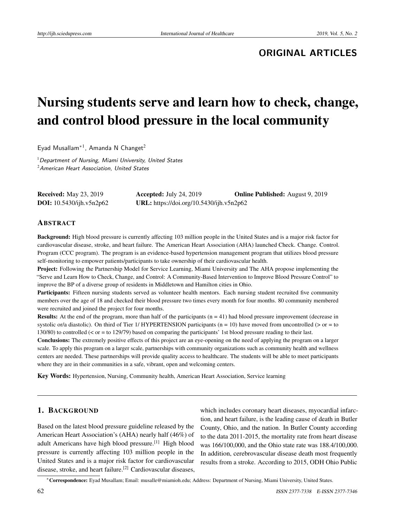**ORIGINAL ARTICLES**

# Nursing students serve and learn how to check, change, and control blood pressure in the local community

Eyad Musallam<sup>\*1</sup>, Amanda N Changet<sup>2</sup>

 $1$  Department of Nursing, Miami University, United States <sup>2</sup> American Heart Association, United States

| <b>Received:</b> May 23, 2019   | Accepted: July 24, 2019                  | <b>Online Published:</b> August 9, 2019 |
|---------------------------------|------------------------------------------|-----------------------------------------|
| <b>DOI:</b> 10.5430/ijh.v5n2p62 | URL: https://doi.org/10.5430/ijh.v5n2p62 |                                         |

#### ABSTRACT

Background: High blood pressure is currently affecting 103 million people in the United States and is a major risk factor for cardiovascular disease, stroke, and heart failure. The American Heart Association (AHA) launched Check. Change. Control. Program (CCC program). The program is an evidence-based hypertension management program that utilizes blood pressure self-monitoring to empower patients/participants to take ownership of their cardiovascular health.

Project: Following the Partnership Model for Service Learning, Miami University and The AHA propose implementing the "Serve and Learn How to Check, Change, and Control: A Community-Based Intervention to Improve Blood Pressure Control" to improve the BP of a diverse group of residents in Middletown and Hamilton cities in Ohio.

Participants: Fifteen nursing students served as volunteer health mentors. Each nursing student recruited five community members over the age of 18 and checked their blood pressure two times every month for four months. 80 community membered were recruited and joined the project for four months.

**Results:** At the end of the program, more than half of the participants  $(n = 41)$  had blood pressure improvement (decrease in systolic or/a diastolic). On third of Tier 1/ HYPERTENSION participants ( $n = 10$ ) have moved from uncontrolled ( $>$  or = to 130/80) to controlled (< or = to 129/79) based on comparing the participants' 1st blood pressure reading to their last.

Conclusions: The extremely positive effects of this project are an eye-opening on the need of applying the program on a larger scale. To apply this program on a larger scale, partnerships with community organizations such as community health and wellness centers are needed. These partnerships will provide quality access to healthcare. The students will be able to meet participants where they are in their communities in a safe, vibrant, open and welcoming centers.

Key Words: Hypertension, Nursing, Community health, American Heart Association, Service learning

# 1. BACKGROUND

Based on the latest blood pressure guideline released by the American Heart Association's (AHA) nearly half (46%) of adult Americans have high blood pressure.[\[1\]](#page-3-0) High blood pressure is currently affecting 103 million people in the United States and is a major risk factor for cardiovascular disease, stroke, and heart failure.<sup>[\[2\]](#page-3-1)</sup> Cardiovascular diseases, which includes coronary heart diseases, myocardial infarction, and heart failure, is the leading cause of death in Butler County, Ohio, and the nation. In Butler County according to the data 2011-2015, the mortality rate from heart disease was 166/100,000, and the Ohio state rate was 188.4/100,000. In addition, cerebrovascular disease death most frequently results from a stroke. According to 2015, ODH Ohio Public

<sup>∗</sup>Correspondence: Eyad Musallam; Email: musalle@miamioh.edu; Address: Department of Nursing, Miami University, United States.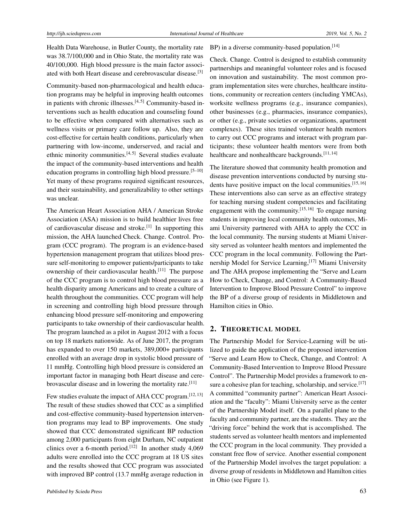Health Data Warehouse, in Butler County, the mortality rate was 38.7/100,000 and in Ohio State, the mortality rate was 40/100,000. High blood pressure is the main factor associated with both Heart disease and cerebrovascular disease.[\[3\]](#page-4-0)

Community-based non-pharmacological and health education programs may be helpful in improving health outcomes in patients with chronic illnesses. $[4,5]$  $[4,5]$  Community-based interventions such as health education and counseling found to be effective when compared with alternatives such as wellness visits or primary care follow up. Also, they are cost-effective for certain health conditions, particularly when partnering with low-income, underserved, and racial and ethnic minority communities. $[4,5]$  $[4,5]$  Several studies evaluate the impact of the community-based interventions and health education programs in controlling high blood pressure.<sup>[\[5](#page-4-2)[–10\]](#page-4-3)</sup> Yet many of these programs required significant resources, and their sustainability, and generalizability to other settings was unclear.

The American Heart Association AHA / American Stroke Association (ASA) mission is to build healthier lives free of cardiovascular disease and stroke.<sup>[\[1\]](#page-3-0)</sup> In supporting this mission, the AHA launched Check. Change. Control. Program (CCC program). The program is an evidence-based hypertension management program that utilizes blood pressure self-monitoring to empower patients/participants to take ownership of their cardiovascular health.<sup>[\[11\]](#page-4-4)</sup> The purpose of the CCC program is to control high blood pressure as a health disparity among Americans and to create a culture of health throughout the communities. CCC program will help in screening and controlling high blood pressure through enhancing blood pressure self-monitoring and empowering participants to take ownership of their cardiovascular health. The program launched as a pilot in August 2012 with a focus on top 18 markets nationwide. As of June 2017, the program has expanded to over 150 markets, 389,000+ participants enrolled with an average drop in systolic blood pressure of 11 mmHg. Controlling high blood pressure is considered an important factor in managing both Heart disease and cere-brovascular disease and in lowering the mortality rate.<sup>[\[11\]](#page-4-4)</sup>

Few studies evaluate the impact of AHA CCC program.<sup>[\[12,](#page-4-5)[13\]](#page-4-6)</sup> The result of these studies showed that CCC as a simplified and cost-effective community-based hypertension intervention programs may lead to BP improvements. One study showed that CCC demonstrated significant BP reduction among 2,000 participants from eight Durham, NC outpatient clinics over a 6-month period.<sup>[\[12\]](#page-4-5)</sup> In another study 4,069 adults were enrolled into the CCC program at 18 US sites and the results showed that CCC program was associated with improved BP control (13.7 mmHg average reduction in

# BP) in a diverse community-based population.<sup>[\[14\]](#page-4-7)</sup>

Check. Change. Control is designed to establish community partnerships and meaningful volunteer roles and is focused on innovation and sustainability. The most common program implementation sites were churches, healthcare institutions, community or recreation centers (including YMCAs), worksite wellness programs (e.g., insurance companies), other businesses (e.g., pharmacies, insurance companies), or other (e.g., private societies or organizations, apartment complexes). These sites trained volunteer health mentors to carry out CCC programs and interact with program participants; these volunteer health mentors were from both healthcare and nonhealthcare backgrounds.<sup>[\[11,](#page-4-4) [14\]](#page-4-7)</sup>

The literature showed that community health promotion and disease prevention interventions conducted by nursing stu-dents have positive impact on the local communities.<sup>[\[15,](#page-4-8) [16\]](#page-4-9)</sup> These interventions also can serve as an effective strategy for teaching nursing student competencies and facilitating engagement with the community.<sup>[\[15,](#page-4-8) [16\]](#page-4-9)</sup> To engage nursing students in improving local community health outcomes, Miami University partnered with AHA to apply the CCC in the local community. The nursing students at Miami University served as volunteer health mentors and implemented the CCC program in the local community. Following the Part-nership Model for Service Learning,<sup>[\[17\]](#page-4-10)</sup> Miami University and The AHA propose implementing the "Serve and Learn How to Check, Change, and Control: A Community-Based Intervention to Improve Blood Pressure Control" to improve the BP of a diverse group of residents in Middletown and Hamilton cities in Ohio.

## 2. THEORETICAL MODEL

The Partnership Model for Service-Learning will be utilized to guide the application of the proposed intervention "Serve and Learn How to Check, Change, and Control: A Community-Based Intervention to Improve Blood Pressure Control". The Partnership Model provides a framework to en-sure a cohesive plan for teaching, scholarship, and service.<sup>[\[17\]](#page-4-10)</sup> A committed "community partner": American Heart Association and the "faculty": Miami University serve as the center of the Partnership Model itself. On a parallel plane to the faculty and community partner, are the students. They are the "driving force" behind the work that is accomplished. The students served as volunteer health mentors and implemented the CCC program in the local community. They provided a constant free flow of service. Another essential component of the Partnership Model involves the target population: a diverse group of residents in Middletown and Hamilton cities in Ohio (see Figure 1).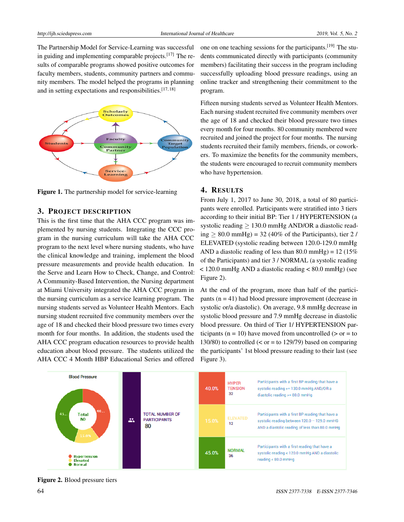The Partnership Model for Service-Learning was successful in guiding and implementing comparable projects.<sup>[\[17\]](#page-4-10)</sup> The results of comparable programs showed positive outcomes for faculty members, students, community partners and community members. The model helped the programs in planning and in setting expectations and responsibilities.<sup>[\[17,](#page-4-10) [18\]](#page-4-11)</sup>



Figure 1. The partnership model for service-learning

## 3. PROJECT DESCRIPTION

This is the first time that the AHA CCC program was implemented by nursing students. Integrating the CCC program in the nursing curriculum will take the AHA CCC program to the next level where nursing students, who have the clinical knowledge and training, implement the blood pressure measurements and provide health education. In the Serve and Learn How to Check, Change, and Control: A Community-Based Intervention, the Nursing department at Miami University integrated the AHA CCC program in the nursing curriculum as a service learning program. The nursing students served as Volunteer Health Mentors. Each nursing student recruited five community members over the age of 18 and checked their blood pressure two times every month for four months. In addition, the students used the AHA CCC program education resources to provide health education about blood pressure. The students utilized the AHA CCC 4 Month HBP Educational Series and offered

one on one teaching sessions for the participants.[\[19\]](#page-4-12) The students communicated directly with participants (community members) facilitating their success in the program including successfully uploading blood pressure readings, using an online tracker and strengthening their commitment to the program.

Fifteen nursing students served as Volunteer Health Mentors. Each nursing student recruited five community members over the age of 18 and checked their blood pressure two times every month for four months. 80 community membered were recruited and joined the project for four months. The nursing students recruited their family members, friends, or coworkers. To maximize the benefits for the community members, the students were encouraged to recruit community members who have hypertension.

#### 4. RESULTS

From July 1, 2017 to June 30, 2018, a total of 80 participants were enrolled. Participants were stratified into 3 tiers according to their initial BP: Tier 1 / HYPERTENSION (a systolic reading > 130.0 mmHg AND/OR a diastolic reading  $\geq$  80.0 mmHg) = 32 (40% of the Participants), tier 2 / ELEVATED (systolic reading between 120.0-129.0 mmHg AND a diastolic reading of less than 80.0 mmHg) =  $12(15\%$ of the Participants) and tier 3 / NORMAL (a systolic reading < 120.0 mmHg AND a diastolic reading < 80.0 mmHg) (see Figure 2).

At the end of the program, more than half of the participants  $(n = 41)$  had blood pressure improvement (decrease in systolic or/a diastolic). On average, 9.8 mmHg decrease in systolic blood pressure and 7.9 mmHg decrease in diastolic blood pressure. On third of Tier 1/ HYPERTENSION participants ( $n = 10$ ) have moved from uncontrolled ( $>$  or  $=$  to 130/80) to controlled ( $\lt$  or = to 129/79) based on comparing the participants' 1st blood pressure reading to their last (see Figure 3).



Figure 2. Blood pressure tiers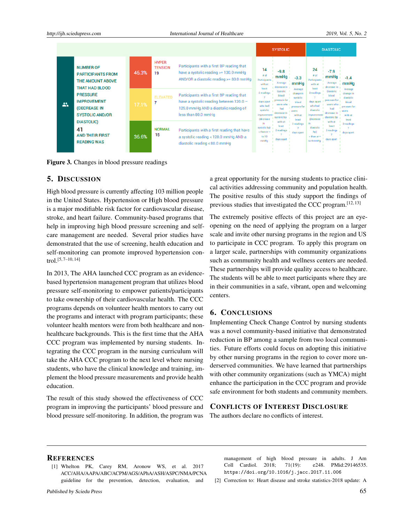|   |                                                                                           |                                                                                 |                                      |                                                                                                                               |                                                                                                                                                        | <b>SYSTOLIC</b>                                                                     |                                                                                                                                                                               |                                                                                                                                                 | <b>DIASTOLIC</b>                                                                             |                                                                                                                            |  |
|---|-------------------------------------------------------------------------------------------|---------------------------------------------------------------------------------|--------------------------------------|-------------------------------------------------------------------------------------------------------------------------------|--------------------------------------------------------------------------------------------------------------------------------------------------------|-------------------------------------------------------------------------------------|-------------------------------------------------------------------------------------------------------------------------------------------------------------------------------|-------------------------------------------------------------------------------------------------------------------------------------------------|----------------------------------------------------------------------------------------------|----------------------------------------------------------------------------------------------------------------------------|--|
| 共 | <b>NUMBER OF</b><br><b>PARTICIPANTS FROM</b><br>THE AMOUNT ABOVE<br><b>THAT HAD BLOOD</b> | 46.3%                                                                           | <b>HYPER</b><br><b>TENSION</b><br>19 | Participants with a first BP reading that<br>have a systolic reading >= 130.0 mmHg<br>AND/OR a diastolic reading >= 80.0 mmHg | 14<br>if of<br>Participants<br>with at<br>least                                                                                                        | $-9.8$<br>mmHg<br>$-3.3$<br>Average<br>mmHq<br>decrease in                          | 24<br># of<br>Participants<br>with at<br>least                                                                                                                                | $-7.9$<br>mmHq<br>Average<br>decrease in                                                                                                        | $-1.4$<br>mmHg                                                                               |                                                                                                                            |  |
|   |                                                                                           | <b>PRESSURE</b><br><b>IMPROVEMENT</b><br>(DECREASE IN<br><b>SYSTOLIC AND/OR</b> | 17.1%                                | <b>ELEVATED</b>                                                                                                               | Participants with a first BP reading that<br>have a systolic reading between $120.0 -$<br>129.0 mmHg AND a diastolic reading of<br>less than 80.0 mmHq | 2 readings<br>days apart<br>who had<br>systolic<br><i>improvement</i><br>(decrease) | Average<br>Systolic<br>change in<br>blood<br>systolic<br>pressure for<br>blood<br>users who<br>pressure for<br>had<br>users<br>decrease in<br>with at<br>systolic bp<br>least | 2 readings<br>days apart<br>who had<br>diastolic<br><i>improvement</i><br><b>(decrease)</b><br>diastolic<br>bp)<br>$>$ than or $=$<br>to 4 mmHg | <b>Diastolic</b><br>blood<br>pressure for<br>users who<br>had<br>decrease in<br>diastolic bp | Average<br>change in<br>diastolic<br>blood<br>pressure for<br><b>users</b><br>with at<br>least<br>2 readings<br>days apart |  |
|   | <b>DIASTOLIC)</b><br>41<br><b>AND THEIR FIRST</b><br><b>READING WAS</b>                   | 36.6%                                                                           | <b>NORMAL</b><br>15                  | Participants with a first reading that have<br>a systolic reading < 120.0 mmHg AND a<br>diastolic reading < 80.0 mmHg         | in.<br>systolic bp)<br>$>$ than or $=$<br>to 10<br>mmHq                                                                                                | with at<br>least<br>2 readings<br>days apart                                        | 2 readings<br>days apart                                                                                                                                                      |                                                                                                                                                 | with at<br>least<br>2 readings<br>days apart                                                 |                                                                                                                            |  |

Figure 3. Changes in blood pressure readings

#### 5. DISCUSSION

High blood pressure is currently affecting 103 million people in the United States. Hypertension or High blood pressure is a major modifiable risk factor for cardiovascular disease, stroke, and heart failure. Community-based programs that help in improving high blood pressure screening and selfcare management are needed. Several prior studies have demonstrated that the use of screening, health education and self-monitoring can promote improved hypertension control.[\[5,](#page-4-2) [7–](#page-4-13)[10,](#page-4-3) [14\]](#page-4-7)

In 2013, The AHA launched CCC program as an evidencebased hypertension management program that utilizes blood pressure self-monitoring to empower patients/participants to take ownership of their cardiovascular health. The CCC programs depends on volunteer health mentors to carry out the programs and interact with program participants; these volunteer health mentors were from both healthcare and nonhealthcare backgrounds. This is the first time that the AHA CCC program was implemented by nursing students. Integrating the CCC program in the nursing curriculum will take the AHA CCC program to the next level where nursing students, who have the clinical knowledge and training, implement the blood pressure measurements and provide health education.

The result of this study showed the effectiveness of CCC program in improving the participants' blood pressure and blood pressure self-monitoring. In addition, the program was

a great opportunity for the nursing students to practice clinical activities addressing community and population health. The positive results of this study support the findings of previous studies that investigated the CCC program.<sup>[\[12,](#page-4-5) [13\]](#page-4-6)</sup>

The extremely positive effects of this project are an eyeopening on the need of applying the program on a larger scale and invite other nursing programs in the region and US to participate in CCC program. To apply this program on a larger scale, partnerships with community organizations such as community health and wellness centers are needed. These partnerships will provide quality access to healthcare. The students will be able to meet participants where they are in their communities in a safe, vibrant, open and welcoming centers.

## 6. CONCLUSIONS

Implementing Check Change Control by nursing students was a novel community-based initiative that demonstrated reduction in BP among a sample from two local communities. Future efforts could focus on adopting this initiative by other nursing programs in the region to cover more underserved communities. We have learned that partnerships with other community organizations (such as YMCA) might enhance the participation in the CCC program and provide safe environment for both students and community members.

#### CONFLICTS OF INTEREST DISCLOSURE

The authors declare no conflicts of interest.

#### **REFERENCES**

<span id="page-3-0"></span>[1] Whelton PK, Carey RM, Aronow WS, et al. 2017 ACC/AHA/AAPA/ABC/ACPM/AGS/APhA/ASH/ASPC/NMA/PCNA guideline for the prevention, detection, evaluation, and

management of high blood pressure in adults. J Am Coll Cardiol. 2018; 71(19): e248. PMid:29146535. <https://doi.org/10.1016/j.jacc.2017.11.006>

<span id="page-3-1"></span>[2] Correction to: Heart disease and stroke statistics-2018 update: A